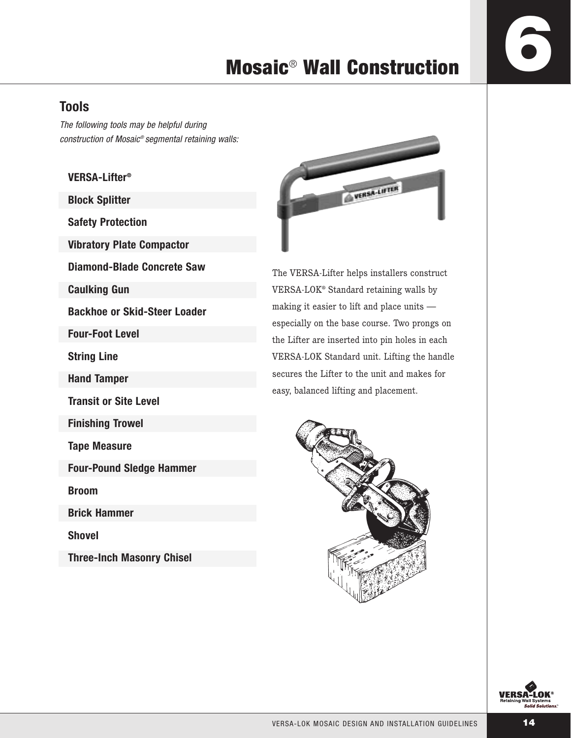### **Tools**

The following tools may be helpful during construction of Mosaic® segmental retaining walls:

### **VERSA-Lifter®**

**Block Splitter**

**Safety Protection**

**Vibratory Plate Compactor**

**Diamond-Blade Concrete Saw**

**Caulking Gun**

**Backhoe or Skid-Steer Loader**

**Four-Foot Level**

**String Line**

**Hand Tamper**

**Transit or Site Level**

**Finishing Trowel**

**Tape Measure**

**Four-Pound Sledge Hammer**

**Broom**

**Brick Hammer**

**Shovel**

**Three-Inch Masonry Chisel**



The VERSA-Lifter helps installers construct VERSA-LOK® Standard retaining walls by making it easier to lift and place units especially on the base course. Two prongs on the Lifter are inserted into pin holes in each VERSA-LOK Standard unit. Lifting the handle secures the Lifter to the unit and makes for easy, balanced lifting and placement.



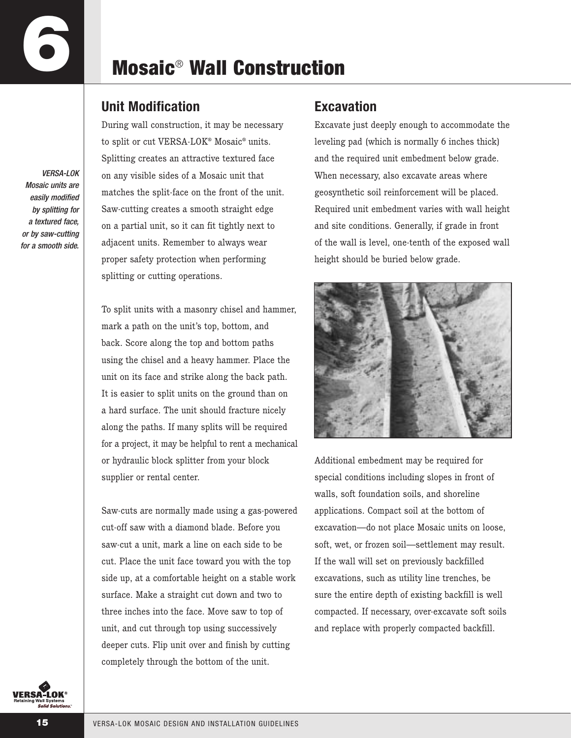VERSA-LOK Mosaic units are easily modified by splitting for a textured face, or by saw-cutting for a smooth side.

## **Mosaic**® **Wall Construction**

### **Unit Modification**

During wall construction, it may be necessary to split or cut VERSA-LOK® Mosaic® units. Splitting creates an attractive textured face on any visible sides of a Mosaic unit that matches the split-face on the front of the unit. Saw-cutting creates a smooth straight edge on a partial unit, so it can fit tightly next to adjacent units. Remember to always wear proper safety protection when performing splitting or cutting operations.

To split units with a masonry chisel and hammer, mark a path on the unit's top, bottom, and back. Score along the top and bottom paths using the chisel and a heavy hammer. Place the unit on its face and strike along the back path. It is easier to split units on the ground than on a hard surface. The unit should fracture nicely along the paths. If many splits will be required for a project, it may be helpful to rent a mechanical or hydraulic block splitter from your block supplier or rental center.

Saw-cuts are normally made using a gas-powered cut-off saw with a diamond blade. Before you saw-cut a unit, mark a line on each side to be cut. Place the unit face toward you with the top side up, at a comfortable height on a stable work surface. Make a straight cut down and two to three inches into the face. Move saw to top of unit, and cut through top using successively deeper cuts. Flip unit over and finish by cutting completely through the bottom of the unit.

### **Excavation**

Excavate just deeply enough to accommodate the leveling pad (which is normally 6 inches thick) and the required unit embedment below grade. When necessary, also excavate areas where geosynthetic soil reinforcement will be placed. Required unit embedment varies with wall height and site conditions. Generally, if grade in front of the wall is level, one-tenth of the exposed wall height should be buried below grade.



Additional embedment may be required for special conditions including slopes in front of walls, soft foundation soils, and shoreline applications. Compact soil at the bottom of excavation—do not place Mosaic units on loose, soft, wet, or frozen soil—settlement may result. If the wall will set on previously backfilled excavations, such as utility line trenches, be sure the entire depth of existing backfill is well compacted. If necessary, over-excavate soft soils and replace with properly compacted backfill.

**VERSA-LOK**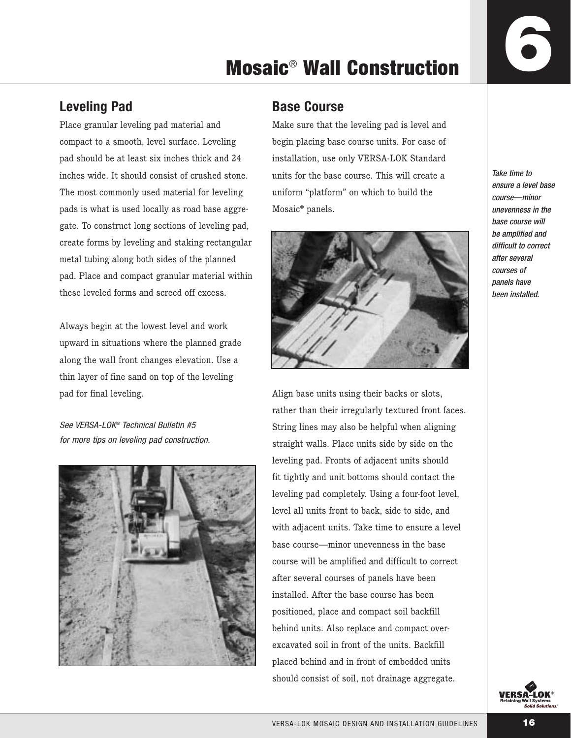### **Leveling Pad**

Place granular leveling pad material and compact to a smooth, level surface. Leveling pad should be at least six inches thick and 24 inches wide. It should consist of crushed stone. The most commonly used material for leveling pads is what is used locally as road base aggregate. To construct long sections of leveling pad, create forms by leveling and staking rectangular metal tubing along both sides of the planned pad. Place and compact granular material within these leveled forms and screed off excess.

Always begin at the lowest level and work upward in situations where the planned grade along the wall front changes elevation. Use a thin layer of fine sand on top of the leveling pad for final leveling.

See VERSA-LOK® Technical Bulletin #5 for more tips on leveling pad construction.



### **Base Course**

Make sure that the leveling pad is level and begin placing base course units. For ease of installation, use only VERSA-LOK Standard units for the base course. This will create a uniform "platform" on which to build the Mosaic® panels.



Align base units using their backs or slots, rather than their irregularly textured front faces. String lines may also be helpful when aligning straight walls. Place units side by side on the leveling pad. Fronts of adjacent units should fit tightly and unit bottoms should contact the leveling pad completely. Using a four-foot level, level all units front to back, side to side, and with adjacent units. Take time to ensure a level base course—minor unevenness in the base course will be amplified and difficult to correct after several courses of panels have been installed. After the base course has been positioned, place and compact soil backfill behind units. Also replace and compact overexcavated soil in front of the units. Backfill placed behind and in front of embedded units should consist of soil, not drainage aggregate.

Take time to ensure a level base course—minor unevenness in the base course will be amplified and difficult to correct after several courses of panels have been installed.

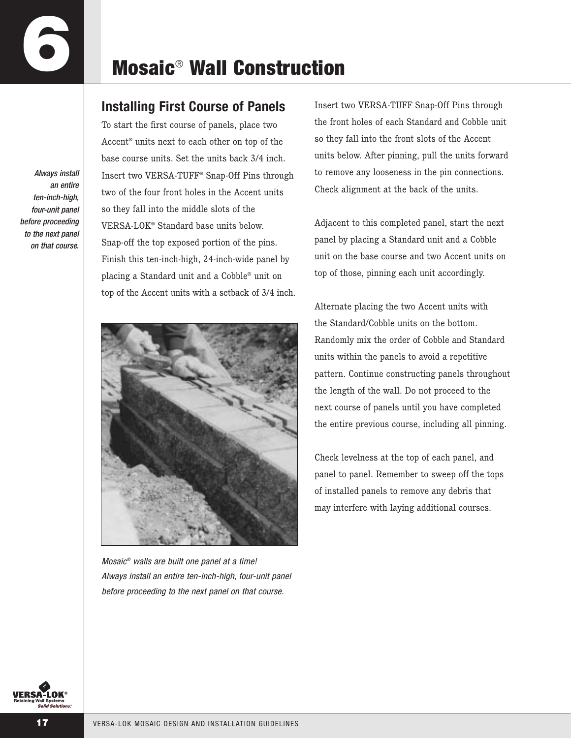### **Installing First Course of Panels**

Always install an entire ten-inch-high, four-unit panel before proceeding to the next panel on that course.

To start the first course of panels, place two Accent® units next to each other on top of the base course units. Set the units back 3/4 inch. Insert two VERSA-TUFF® Snap-Off Pins through two of the four front holes in the Accent units so they fall into the middle slots of the VERSA-LOK® Standard base units below. Snap-off the top exposed portion of the pins. Finish this ten-inch-high, 24-inch-wide panel by placing a Standard unit and a Cobble® unit on top of the Accent units with a setback of 3/4 inch.



Mosaic® walls are built one panel at a time! Always install an entire ten-inch-high, four-unit panel before proceeding to the next panel on that course.

Insert two VERSA-TUFF Snap-Off Pins through the front holes of each Standard and Cobble unit so they fall into the front slots of the Accent units below. After pinning, pull the units forward to remove any looseness in the pin connections. Check alignment at the back of the units.

Adjacent to this completed panel, start the next panel by placing a Standard unit and a Cobble unit on the base course and two Accent units on top of those, pinning each unit accordingly.

Alternate placing the two Accent units with the Standard/Cobble units on the bottom. Randomly mix the order of Cobble and Standard units within the panels to avoid a repetitive pattern. Continue constructing panels throughout the length of the wall. Do not proceed to the next course of panels until you have completed the entire previous course, including all pinning.

Check levelness at the top of each panel, and panel to panel. Remember to sweep off the tops of installed panels to remove any debris that may interfere with laying additional courses.

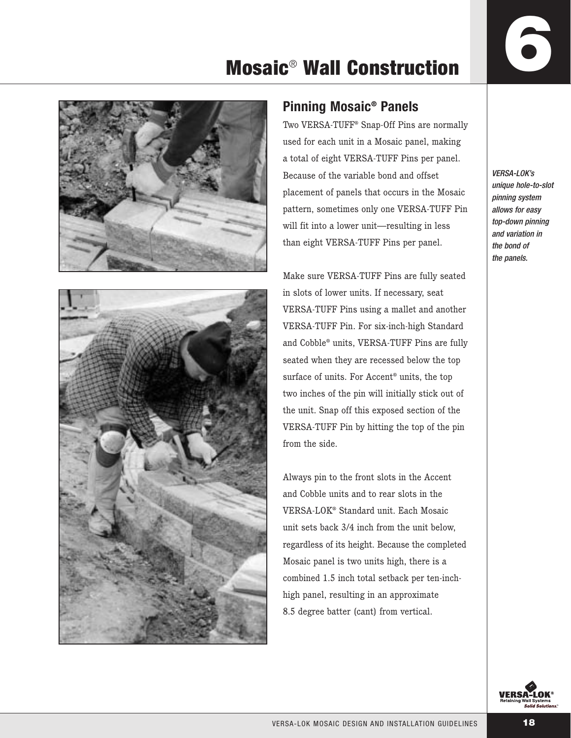

### **Pinning Mosaic® Panels**

Two VERSA-TUFF® Snap-Off Pins are normally used for each unit in a Mosaic panel, making a total of eight VERSA-TUFF Pins per panel. Because of the variable bond and offset placement of panels that occurs in the Mosaic pattern, sometimes only one VERSA-TUFF Pin will fit into a lower unit—resulting in less than eight VERSA-TUFF Pins per panel.

Make sure VERSA-TUFF Pins are fully seated in slots of lower units. If necessary, seat VERSA-TUFF Pins using a mallet and another VERSA-TUFF Pin. For six-inch-high Standard and Cobble® units, VERSA-TUFF Pins are fully seated when they are recessed below the top surface of units. For Accent® units, the top two inches of the pin will initially stick out of the unit. Snap off this exposed section of the VERSA-TUFF Pin by hitting the top of the pin from the side.

Always pin to the front slots in the Accent and Cobble units and to rear slots in the VERSA-LOK® Standard unit. Each Mosaic unit sets back 3/4 inch from the unit below, regardless of its height. Because the completed Mosaic panel is two units high, there is a combined 1.5 inch total setback per ten-inchhigh panel, resulting in an approximate 8.5 degree batter (cant) from vertical.

VERSA-LOK's unique hole-to-slot pinning system allows for easy top-down pinning and variation in the bond of the panels.

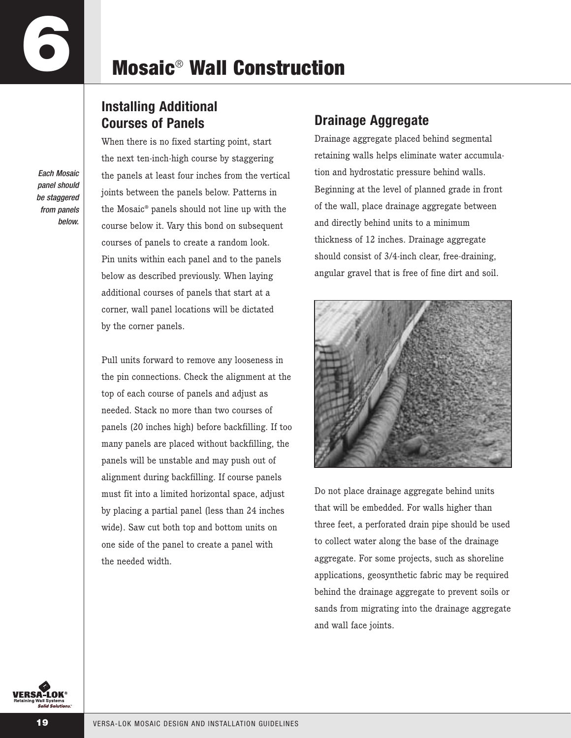### **Installing Additional Courses of Panels**

Each Mosaic panel should be staggered from panels below. When there is no fixed starting point, start the next ten-inch-high course by staggering the panels at least four inches from the vertical joints between the panels below. Patterns in the Mosaic® panels should not line up with the course below it. Vary this bond on subsequent courses of panels to create a random look. Pin units within each panel and to the panels below as described previously. When laying additional courses of panels that start at a corner, wall panel locations will be dictated by the corner panels.

Pull units forward to remove any looseness in the pin connections. Check the alignment at the top of each course of panels and adjust as needed. Stack no more than two courses of panels (20 inches high) before backfilling. If too many panels are placed without backfilling, the panels will be unstable and may push out of alignment during backfilling. If course panels must fit into a limited horizontal space, adjust by placing a partial panel (less than 24 inches wide). Saw cut both top and bottom units on one side of the panel to create a panel with the needed width.

### **Drainage Aggregate**

Drainage aggregate placed behind segmental retaining walls helps eliminate water accumulation and hydrostatic pressure behind walls. Beginning at the level of planned grade in front of the wall, place drainage aggregate between and directly behind units to a minimum thickness of 12 inches. Drainage aggregate should consist of 3/4-inch clear, free-draining, angular gravel that is free of fine dirt and soil.



Do not place drainage aggregate behind units that will be embedded. For walls higher than three feet, a perforated drain pipe should be used to collect water along the base of the drainage aggregate. For some projects, such as shoreline applications, geosynthetic fabric may be required behind the drainage aggregate to prevent soils or sands from migrating into the drainage aggregate and wall face joints.

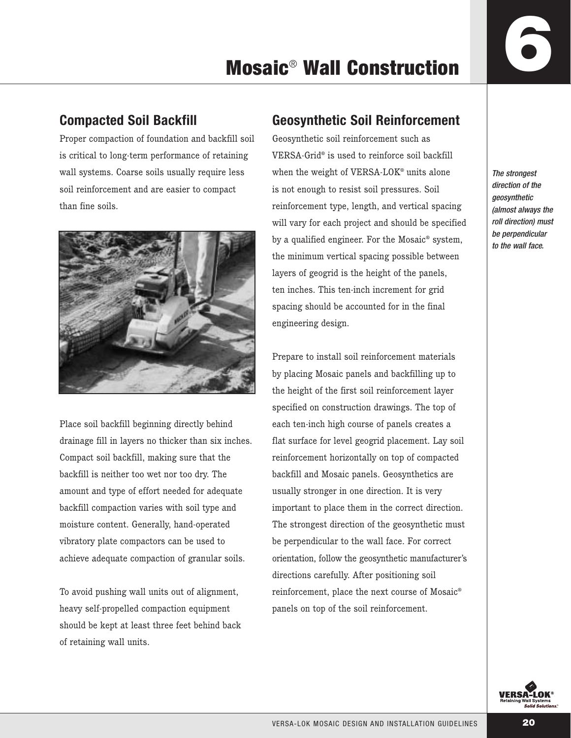### **Compacted Soil Backfill**

Proper compaction of foundation and backfill soil is critical to long-term performance of retaining wall systems. Coarse soils usually require less soil reinforcement and are easier to compact than fine soils.



Place soil backfill beginning directly behind drainage fill in layers no thicker than six inches. Compact soil backfill, making sure that the backfill is neither too wet nor too dry. The amount and type of effort needed for adequate backfill compaction varies with soil type and moisture content. Generally, hand-operated vibratory plate compactors can be used to achieve adequate compaction of granular soils.

To avoid pushing wall units out of alignment, heavy self-propelled compaction equipment should be kept at least three feet behind back of retaining wall units.

### **Geosynthetic Soil Reinforcement**

Geosynthetic soil reinforcement such as VERSA-Grid® is used to reinforce soil backfill when the weight of VERSA-LOK® units alone is not enough to resist soil pressures. Soil reinforcement type, length, and vertical spacing will vary for each project and should be specified by a qualified engineer. For the Mosaic® system, the minimum vertical spacing possible between layers of geogrid is the height of the panels, ten inches. This ten-inch increment for grid spacing should be accounted for in the final engineering design.

Prepare to install soil reinforcement materials by placing Mosaic panels and backfilling up to the height of the first soil reinforcement layer specified on construction drawings. The top of each ten-inch high course of panels creates a flat surface for level geogrid placement. Lay soil reinforcement horizontally on top of compacted backfill and Mosaic panels. Geosynthetics are usually stronger in one direction. It is very important to place them in the correct direction. The strongest direction of the geosynthetic must be perpendicular to the wall face. For correct orientation, follow the geosynthetic manufacturer's directions carefully. After positioning soil reinforcement, place the next course of Mosaic® panels on top of the soil reinforcement.

The strongest direction of the *aeosynthetic* (almost always the roll direction) must be perpendicular to the wall face.

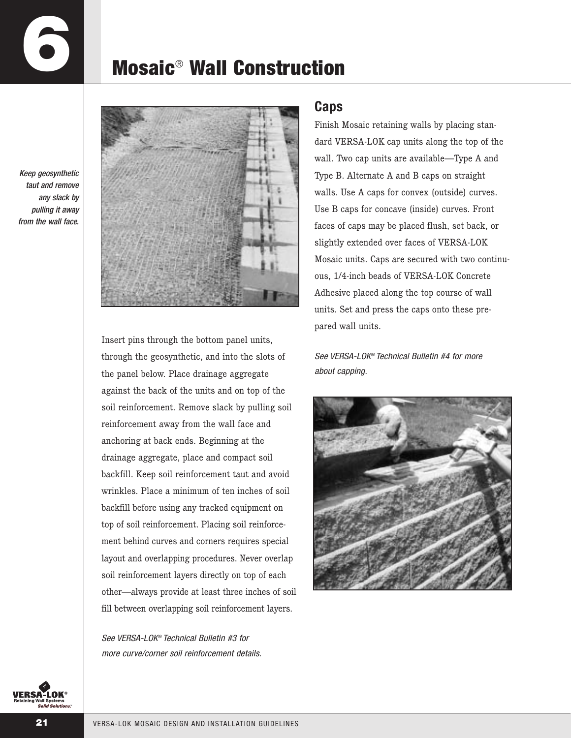# **6**

## **Mosaic**® **Wall Construction**

Keep geosynthetic taut and remove any slack by pulling it away from the wall face.



Insert pins through the bottom panel units, through the geosynthetic, and into the slots of the panel below. Place drainage aggregate against the back of the units and on top of the soil reinforcement. Remove slack by pulling soil reinforcement away from the wall face and anchoring at back ends. Beginning at the drainage aggregate, place and compact soil backfill. Keep soil reinforcement taut and avoid wrinkles. Place a minimum of ten inches of soil backfill before using any tracked equipment on top of soil reinforcement. Placing soil reinforcement behind curves and corners requires special layout and overlapping procedures. Never overlap soil reinforcement layers directly on top of each other—always provide at least three inches of soil fill between overlapping soil reinforcement layers.

See VFRSA-LOK® Technical Bulletin #3 for more curve/corner soil reinforcement details.

### **Caps**

Finish Mosaic retaining walls by placing standard VERSA-LOK cap units along the top of the wall. Two cap units are available—Type A and Type B. Alternate A and B caps on straight walls. Use A caps for convex (outside) curves. Use B caps for concave (inside) curves. Front faces of caps may be placed flush, set back, or slightly extended over faces of VERSA-LOK Mosaic units. Caps are secured with two continuous, 1/4-inch beads of VERSA-LOK Concrete Adhesive placed along the top course of wall units. Set and press the caps onto these prepared wall units.

See VERSA-LOK® Technical Bulletin #4 for more about capping.



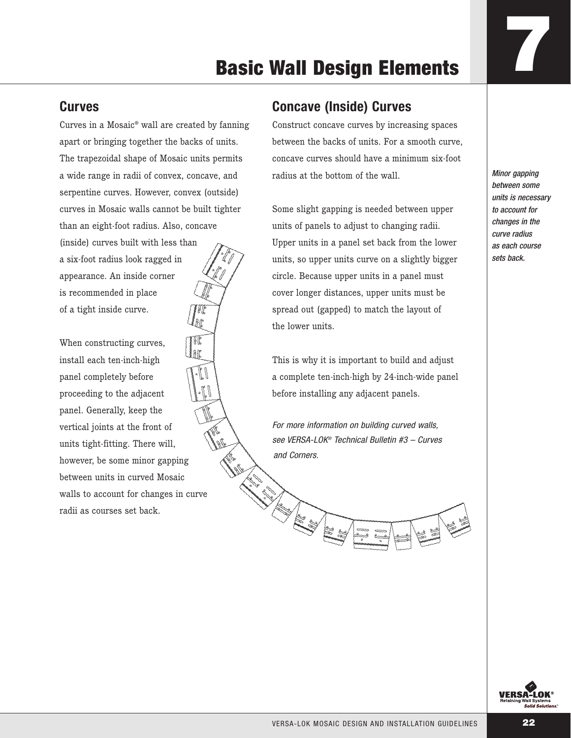### **Curves**

Curves in a Mosaic® wall are created by fanning apart or bringing together the backs of units. The trapezoidal shape of Mosaic units permits a wide range in radii of convex, concave, and serpentine curves. However, convex (outside) curves in Mosaic walls cannot be built tighter than an eight-foot radius. Also, concave (inside) curves built with less than a six-foot radius look ragged in appearance. An inside corner

is recommended in place of a tight inside curve.

When constructing curves, install each ten-inch-high panel completely before proceeding to the adjacent panel. Generally, keep the vertical joints at the front of units tight-fitting. There will, however, be some minor gapping between units in curved Mosaic walls to account for changes in curve radii as courses set back.

### **Concave (Inside) Curves**

Construct concave curves by increasing spaces between the backs of units. For a smooth curve, concave curves should have a minimum six-foot radius at the bottom of the wall.

Some slight gapping is needed between upper units of panels to adjust to changing radii. Upper units in a panel set back from the lower units, so upper units curve on a slightly bigger circle. Because upper units in a panel must cover longer distances, upper units must be spread out (gapped) to match the layout of the lower units.

This is why it is important to build and adjust a complete ten-inch-high by 24-inch-wide panel before installing any adjacent panels.

For more information on building curved walls, see VERSA-LOK® Technical Bulletin #3 – Curves and Corners.

**ANTIFACTURING READER** 

Minor gapping between some units is necessary to account for changes in the curve radius as each course sets back.

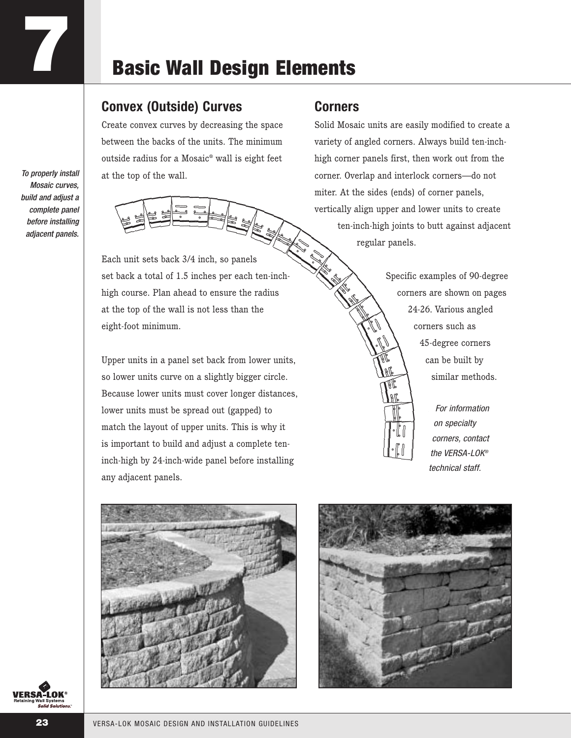### **Convex (Outside) Curves**

Create convex curves by decreasing the space between the backs of the units. The minimum outside radius for a Mosaic® wall is eight feet at the top of the wall.

To properly install Mosaic curves, build and adjust a complete panel before installing adjacent panels.

**7**



Each unit sets back 3/4 inch, so panels set back a total of 1.5 inches per each ten-inchhigh course. Plan ahead to ensure the radius at the top of the wall is not less than the eight-foot minimum.

Upper units in a panel set back from lower units, so lower units curve on a slightly bigger circle. Because lower units must cover longer distances, lower units must be spread out (gapped) to match the layout of upper units. This is why it is important to build and adjust a complete teninch-high by 24-inch-wide panel before installing any adjacent panels.

### **Corners**

Solid Mosaic units are easily modified to create a variety of angled corners. Always build ten-inchhigh corner panels first, then work out from the corner. Overlap and interlock corners—do not miter. At the sides (ends) of corner panels, vertically align upper and lower units to create ten-inch-high joints to butt against adjacent regular panels.

> Specific examples of 90-degree corners are shown on pages 24-26. Various angled corners such as 45-degree corners can be built by similar methods.

> > For information on specialty corners, contact the VFRSA-I OK® technical staff.



**VERSA-LOK** 

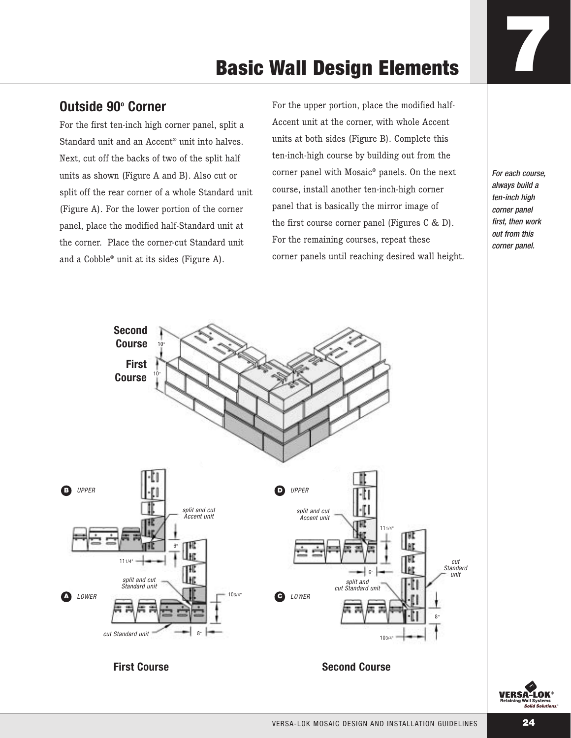### **Outside 90° Corner**

For the first ten-inch high corner panel, split a Standard unit and an Accent® unit into halves. Next, cut off the backs of two of the split half units as shown (Figure A and B). Also cut or split off the rear corner of a whole Standard unit (Figure A). For the lower portion of the corner panel, place the modified half-Standard unit at the corner. Place the corner-cut Standard unit and a Cobble® unit at its sides (Figure A).

For the upper portion, place the modified half-Accent unit at the corner, with whole Accent units at both sides (Figure B). Complete this ten-inch-high course by building out from the corner panel with Mosaic® panels. On the next course, install another ten-inch-high corner panel that is basically the mirror image of the first course corner panel (Figures C & D). For the remaining courses, repeat these corner panels until reaching desired wall height.

For each course, always build a ten-inch high corner panel first, then work out from this corner panel.



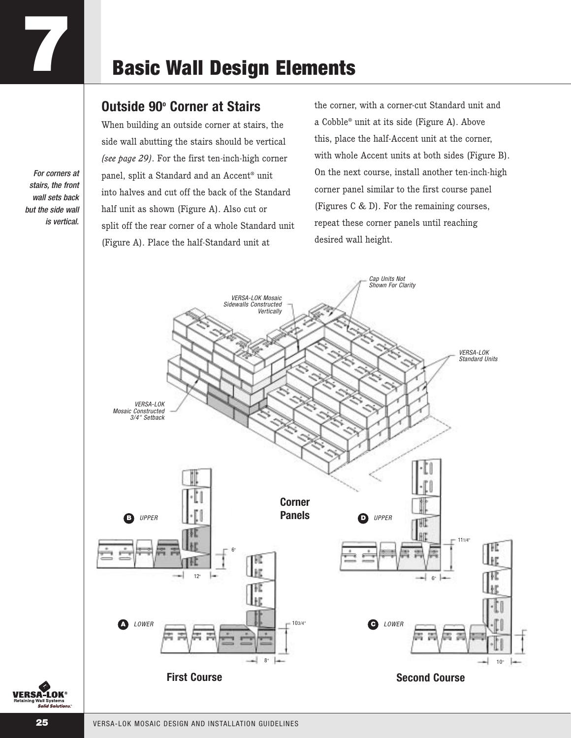### **Outside 90o Corner at Stairs**

When building an outside corner at stairs, the side wall abutting the stairs should be vertical *(see page 29)*. For the first ten-inch-high corner panel, split a Standard and an Accent® unit into halves and cut off the back of the Standard half unit as shown (Figure A). Also cut or split off the rear corner of a whole Standard unit (Figure A). Place the half-Standard unit at

the corner, with a corner-cut Standard unit and a Cobble® unit at its side (Figure A). Above this, place the half-Accent unit at the corner, with whole Accent units at both sides (Figure B). On the next course, install another ten-inch-high corner panel similar to the first course panel (Figures C & D). For the remaining courses, repeat these corner panels until reaching desired wall height.



For corners at stairs, the front wall sets back but the side wall is vertical.

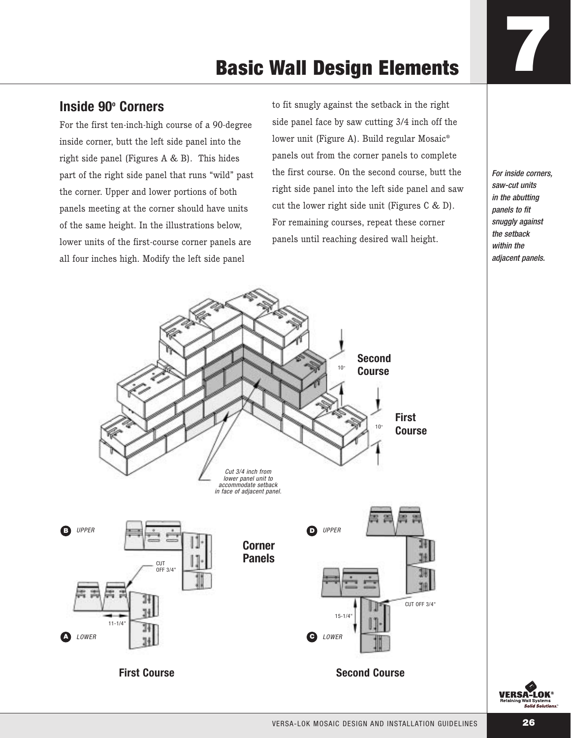### **Inside 90° Corners**

For the first ten-inch-high course of a 90-degree inside corner, butt the left side panel into the right side panel (Figures A & B). This hides part of the right side panel that runs "wild" past the corner. Upper and lower portions of both panels meeting at the corner should have units of the same height. In the illustrations below, lower units of the first-course corner panels are all four inches high. Modify the left side panel

to fit snugly against the setback in the right side panel face by saw cutting 3/4 inch off the lower unit (Figure A). Build regular Mosaic® panels out from the corner panels to complete the first course. On the second course, butt the right side panel into the left side panel and saw cut the lower right side unit (Figures C & D). For remaining courses, repeat these corner panels until reaching desired wall height.

For inside corners, saw-cut units in the abutting panels to fit snuggly against the setback within the adjacent panels.